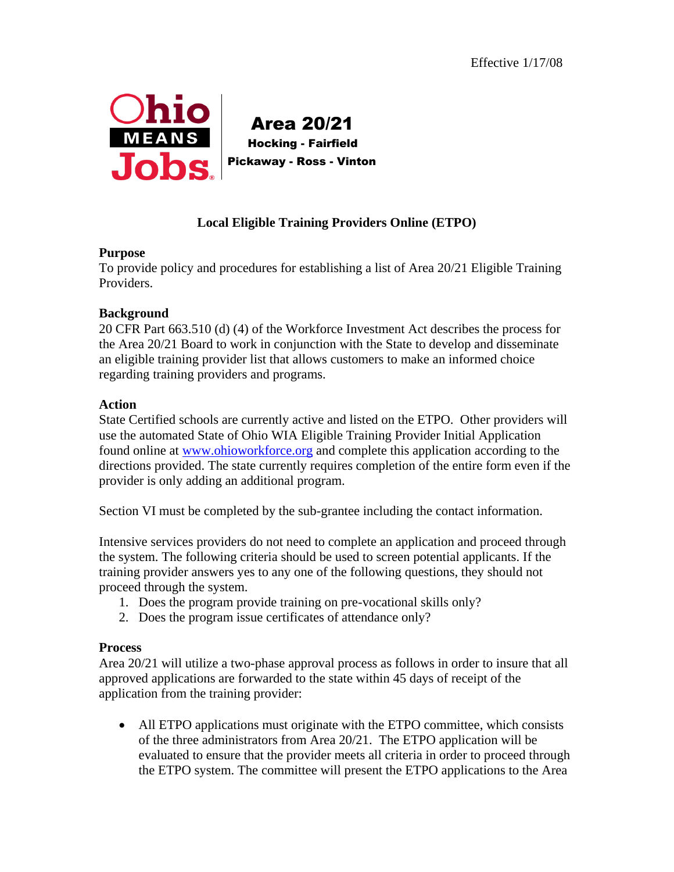

 Area 20/21 Hocking - Fairfield Pickaway - Ross - Vinton

# **Local Eligible Training Providers Online (ETPO)**

### **Purpose**

To provide policy and procedures for establishing a list of Area 20/21 Eligible Training Providers.

### **Background**

20 CFR Part 663.510 (d) (4) of the Workforce Investment Act describes the process for the Area 20/21 Board to work in conjunction with the State to develop and disseminate an eligible training provider list that allows customers to make an informed choice regarding training providers and programs.

### **Action**

State Certified schools are currently active and listed on the ETPO. Other providers will use the automated State of Ohio WIA Eligible Training Provider Initial Application found online at [www.ohioworkforce.org](../../../../Local%20Settings/Local%20Settings/BAKERK04/Desktop/www.ohioworkforce.org) and complete this application according to the directions provided. The state currently requires completion of the entire form even if the provider is only adding an additional program.

Section VI must be completed by the sub-grantee including the contact information.

Intensive services providers do not need to complete an application and proceed through the system. The following criteria should be used to screen potential applicants. If the training provider answers yes to any one of the following questions, they should not proceed through the system.

- 1. Does the program provide training on pre-vocational skills only?
- 2. Does the program issue certificates of attendance only?

#### **Process**

Area 20/21 will utilize a two-phase approval process as follows in order to insure that all approved applications are forwarded to the state within 45 days of receipt of the application from the training provider:

• All ETPO applications must originate with the ETPO committee, which consists of the three administrators from Area 20/21. The ETPO application will be evaluated to ensure that the provider meets all criteria in order to proceed through the ETPO system. The committee will present the ETPO applications to the Area